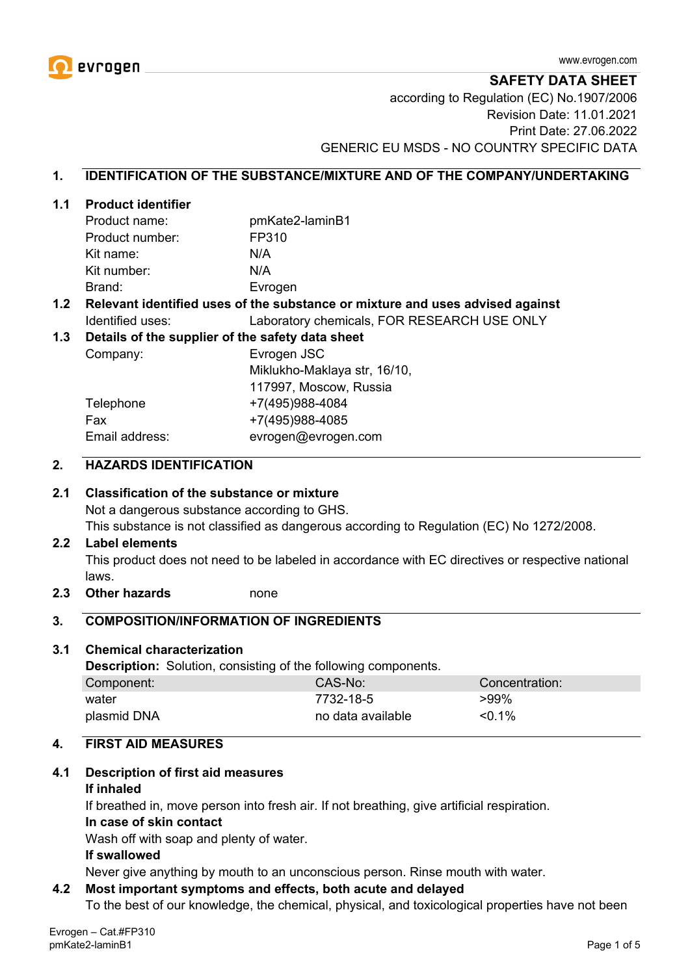

**SAFETY DATA SHEET** according to Regulation (EC) No.1907/2006 Revision Date: 11.01.2021 Print Date: 27.06.2022 GENERIC EU MSDS - NO COUNTRY SPECIFIC DATA

#### **1. IDENTIFICATION OF THE SUBSTANCE/MIXTURE AND OF THE COMPANY/UNDERTAKING**

#### **1.1 Product identifier**

| Product name:   | pmKate2-laminB1 |
|-----------------|-----------------|
| Product number: | FP310           |
| Kit name:       | N/A             |
| Kit number:     | N/A             |
| Brand:          | Evrogen         |

#### **1.2 Relevant identified uses of the substance or mixture and uses advised against** Identified uses: Laboratory chemicals, FOR RESEARCH USE ONLY

#### **1.3 Details of the supplier of the safety data sheet**

Company: Evrogen JSC Miklukho-Maklaya str, 16/10, 117997, Moscow, Russia Telephone +7(495)988-4084 Fax +7(495)988-4085 Email address: evrogen@evrogen.com

#### **2. HAZARDS IDENTIFICATION**

#### **2.1 Classification of the substance or mixture**

Not a dangerous substance according to GHS.

This substance is not classified as dangerous according to Regulation (EC) No 1272/2008.

#### **2.2 Label elements**

This product does not need to be labeled in accordance with EC directives or respective national laws.

**2.3 Other hazards** none

#### **3. COMPOSITION/INFORMATION OF INGREDIENTS**

#### **3.1 Chemical characterization**

**Description:** Solution, consisting of the following components.

| Component:  | CAS-No:           | Concentration: |
|-------------|-------------------|----------------|
| water       | 7732-18-5         | $>99\%$        |
| plasmid DNA | no data available | $< 0.1\%$      |

#### **4. FIRST AID MEASURES**

#### **4.1 Description of first aid measures**

#### **If inhaled**

If breathed in, move person into fresh air. If not breathing, give artificial respiration.

#### **In case of skin contact**

Wash off with soap and plenty of water.

#### **If swallowed**

Never give anything by mouth to an unconscious person. Rinse mouth with water.

#### **4.2 Most important symptoms and effects, both acute and delayed**

To the best of our knowledge, the chemical, physical, and toxicological properties have not been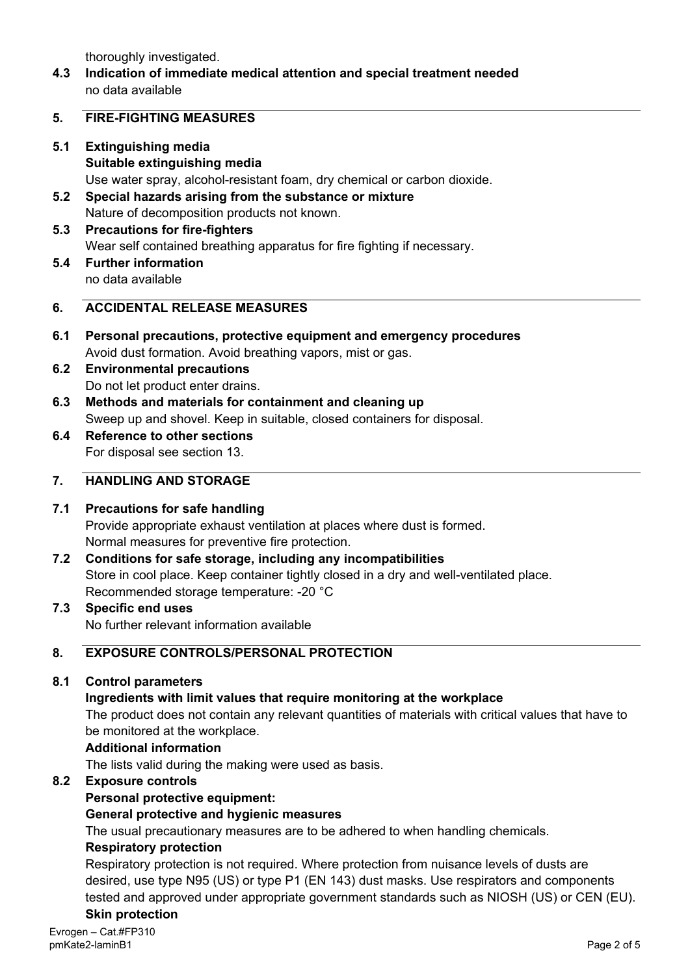thoroughly investigated.

**4.3 Indication of immediate medical attention and special treatment needed** no data available

#### **5. FIRE-FIGHTING MEASURES**

- **5.1 Extinguishing media Suitable extinguishing media** Use water spray, alcohol-resistant foam, dry chemical or carbon dioxide.
- **5.2 Special hazards arising from the substance or mixture** Nature of decomposition products not known.
- **5.3 Precautions for fire-fighters** Wear self contained breathing apparatus for fire fighting if necessary.
- **5.4 Further information** no data available

## **6. ACCIDENTAL RELEASE MEASURES**

- **6.1 Personal precautions, protective equipment and emergency procedures** Avoid dust formation. Avoid breathing vapors, mist or gas.
- **6.2 Environmental precautions** Do not let product enter drains.
- **6.3 Methods and materials for containment and cleaning up** Sweep up and shovel. Keep in suitable, closed containers for disposal.
- **6.4 Reference to other sections** For disposal see section 13.

## **7. HANDLING AND STORAGE**

## **7.1 Precautions for safe handling**

Provide appropriate exhaust ventilation at places where dust is formed. Normal measures for preventive fire protection.

- **7.2 Conditions for safe storage, including any incompatibilities** Store in cool place. Keep container tightly closed in a dry and well-ventilated place. Recommended storage temperature: -20 °C
- **7.3 Specific end uses** No further relevant information available

## **8. EXPOSURE CONTROLS/PERSONAL PROTECTION**

## **8.1 Control parameters**

## **Ingredients with limit values that require monitoring at the workplace**

The product does not contain any relevant quantities of materials with critical values that have to be monitored at the workplace.

#### **Additional information**

The lists valid during the making were used as basis.

## **8.2 Exposure controls**

## **Personal protective equipment:**

## **General protective and hygienic measures**

The usual precautionary measures are to be adhered to when handling chemicals.

#### **Respiratory protection**

Respiratory protection is not required. Where protection from nuisance levels of dusts are desired, use type N95 (US) or type P1 (EN 143) dust masks. Use respirators and components tested and approved under appropriate government standards such as NIOSH (US) or CEN (EU). **Skin protection**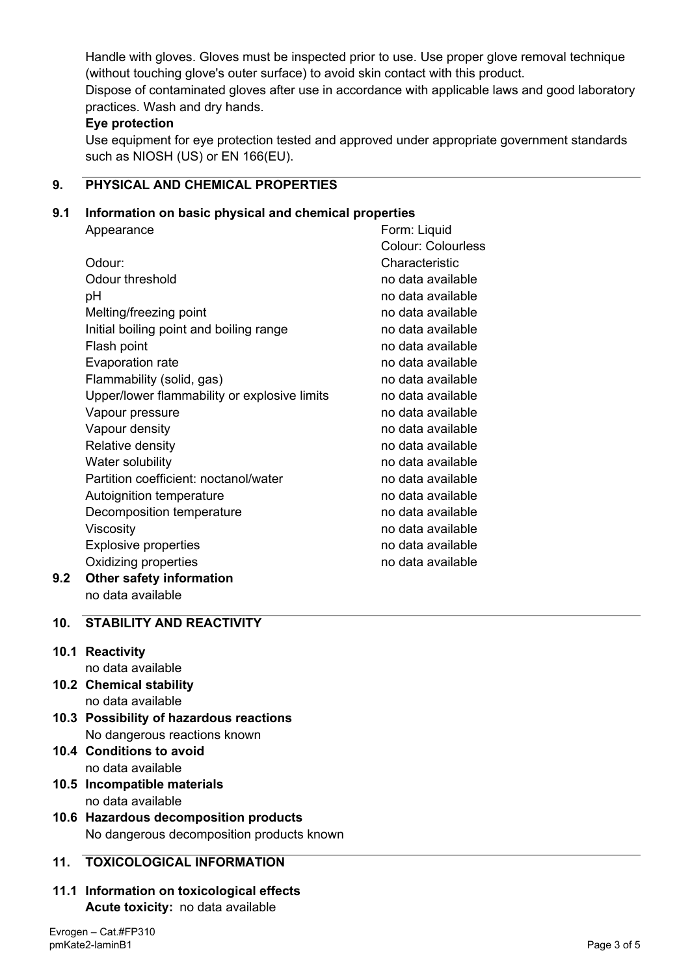Handle with gloves. Gloves must be inspected prior to use. Use proper glove removal technique (without touching glove's outer surface) to avoid skin contact with this product. Dispose of contaminated gloves after use in accordance with applicable laws and good laboratory practices. Wash and dry hands.

## **Eye protection**

Use equipment for eye protection tested and approved under appropriate government standards such as NIOSH (US) or EN 166(EU).

# **9. PHYSICAL AND CHEMICAL PROPERTIES**

## **9.1 Information on basic physical and chemical properties**

|     | Appearance                                   | Form: Liquid              |
|-----|----------------------------------------------|---------------------------|
|     |                                              | <b>Colour: Colourless</b> |
|     | Odour:                                       | Characteristic            |
|     | Odour threshold                              | no data available         |
|     | рH                                           | no data available         |
|     | Melting/freezing point                       | no data available         |
|     | Initial boiling point and boiling range      | no data available         |
|     | Flash point                                  | no data available         |
|     | Evaporation rate                             | no data available         |
|     | Flammability (solid, gas)                    | no data available         |
|     | Upper/lower flammability or explosive limits | no data available         |
|     | Vapour pressure                              | no data available         |
|     | Vapour density                               | no data available         |
|     | Relative density                             | no data available         |
|     | Water solubility                             | no data available         |
|     | Partition coefficient: noctanol/water        | no data available         |
|     | Autoignition temperature                     | no data available         |
|     | Decomposition temperature                    | no data available         |
|     | Viscosity                                    | no data available         |
|     | <b>Explosive properties</b>                  | no data available         |
|     | Oxidizing properties                         | no data available         |
| 9.2 | <b>Other safety information</b>              |                           |

no data available

# **10. STABILITY AND REACTIVITY**

# **10.1 Reactivity**

- no data available
- **10.2 Chemical stability** no data available
- **10.3 Possibility of hazardous reactions** No dangerous reactions known
- **10.4 Conditions to avoid** no data available
- **10.5 Incompatible materials** no data available
- **10.6 Hazardous decomposition products** No dangerous decomposition products known

# **11. TOXICOLOGICAL INFORMATION**

**11.1 Information on toxicological effects Acute toxicity:** no data available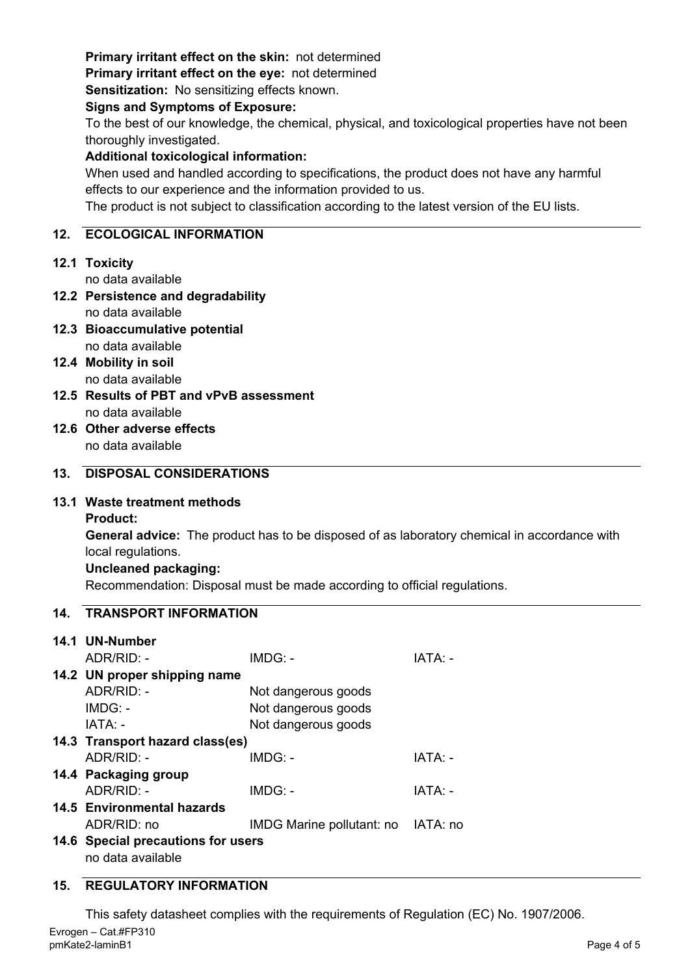## **Primary irritant effect on the skin:** not determined

**Primary irritant effect on the eye:** not determined

**Sensitization:** No sensitizing effects known.

#### **Signs and Symptoms of Exposure:**

To the best of our knowledge, the chemical, physical, and toxicological properties have not been thoroughly investigated.

## **Additional toxicological information:**

When used and handled according to specifications, the product does not have any harmful effects to our experience and the information provided to us.

The product is not subject to classification according to the latest version of the EU lists.

## **12. ECOLOGICAL INFORMATION**

## **12.1 Toxicity**

no data available

- **12.2 Persistence and degradability** no data available
- **12.3 Bioaccumulative potential** no data available
- **12.4 Mobility in soil** no data available
- **12.5 Results of PBT and vPvB assessment** no data available
- **12.6 Other adverse effects** no data available

## **13. DISPOSAL CONSIDERATIONS**

## **13.1 Waste treatment methods**

**Product:**

**General advice:** The product has to be disposed of as laboratory chemical in accordance with local regulations.

## **Uncleaned packaging:**

Recommendation: Disposal must be made according to official regulations.

## **14. TRANSPORT INFORMATION**

| 14.1 UN-Number                     |                                    |         |  |  |
|------------------------------------|------------------------------------|---------|--|--|
| $ADR/RID: -$                       | $IMDG: -$                          | IATA: - |  |  |
| 14.2 UN proper shipping name       |                                    |         |  |  |
| $ADR/RID: -$                       | Not dangerous goods                |         |  |  |
| $IMDG: -$                          | Not dangerous goods                |         |  |  |
| IATA: -                            | Not dangerous goods                |         |  |  |
| 14.3 Transport hazard class(es)    |                                    |         |  |  |
| $ADR/RID -$                        | $IMDG: -$                          | IATA: - |  |  |
| 14.4 Packaging group               |                                    |         |  |  |
| $ADR/RID: -$                       | IMDG: -                            | IATA: - |  |  |
| 14.5 Environmental hazards         |                                    |         |  |  |
| ADR/RID: no                        | IMDG Marine pollutant: no IATA: no |         |  |  |
| 14.6 Special precautions for users |                                    |         |  |  |
| no data available                  |                                    |         |  |  |

## **15. REGULATORY INFORMATION**

This safety datasheet complies with the requirements of Regulation (EC) No. 1907/2006.